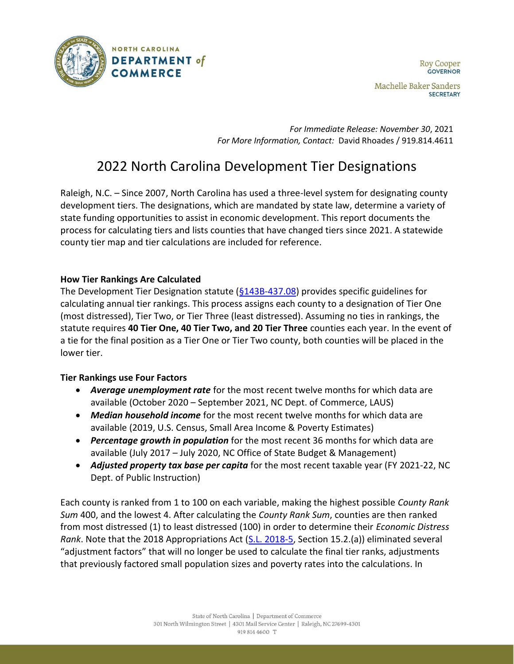

*For Immediate Release: November 30*, 2021 *For More Information, Contact:* David Rhoades / 919.814.4611

# 2022 North Carolina Development Tier Designations

Raleigh, N.C. – Since 2007, North Carolina has used a three-level system for designating county development tiers. The designations, which are mandated by state law, determine a variety of state funding opportunities to assist in economic development. This report documents the process for calculating tiers and lists counties that have changed tiers since 2021. A statewide county tier map and tier calculations are included for reference.

# **How Tier Rankings Are Calculated**

The Development Tier Designation statute [\(§143B-437.08\)](http://www.ncleg.net/EnactedLegislation/Statutes/HTML/BySection/Chapter_143B/GS_143B-437.08.html) provides specific guidelines for calculating annual tier rankings. This process assigns each county to a designation of Tier One (most distressed), Tier Two, or Tier Three (least distressed). Assuming no ties in rankings, the statute requires **40 Tier One, 40 Tier Two, and 20 Tier Three** counties each year. In the event of a tie for the final position as a Tier One or Tier Two county, both counties will be placed in the lower tier.

# **Tier Rankings use Four Factors**

- *Average unemployment rate* for the most recent twelve months for which data are available (October 2020 – September 2021, NC Dept. of Commerce, LAUS)
- *Median household income* for the most recent twelve months for which data are available (2019, U.S. Census, Small Area Income & Poverty Estimates)
- *Percentage growth in population* for the most recent 36 months for which data are available (July 2017 – July 2020, NC Office of State Budget & Management)
- *Adjusted property tax base per capita* for the most recent taxable year (FY 2021-22, NC Dept. of Public Instruction)

Each county is ranked from 1 to 100 on each variable, making the highest possible *County Rank Sum* 400, and the lowest 4. After calculating the *County Rank Sum*, counties are then ranked from most distressed (1) to least distressed (100) in order to determine their *Economic Distress Rank*. Note that the 2018 Appropriations Act [\(S.L. 2018-5,](https://www.ncleg.net/EnactedLegislation/SessionLaws/PDF/2017-2018/SL2018-5.pdf) Section 15.2.(a)) eliminated several "adjustment factors" that will no longer be used to calculate the final tier ranks, adjustments that previously factored small population sizes and poverty rates into the calculations. In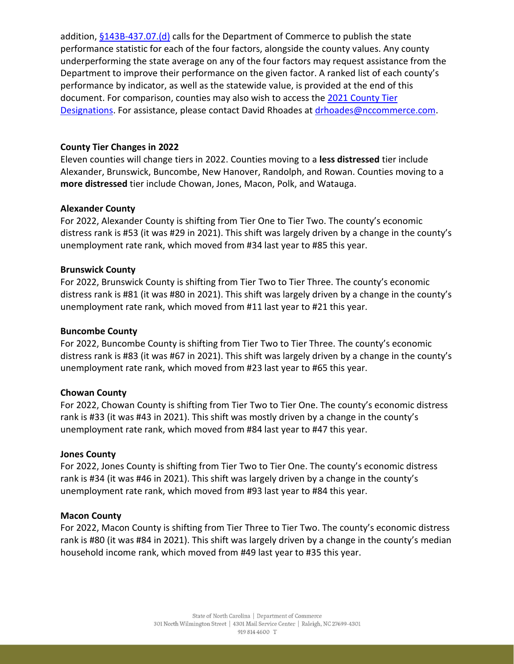addition,  $§143B-437.07.(d)$  calls for the Department of Commerce to publish the state performance statistic for each of the four factors, alongside the county values. Any county underperforming the state average on any of the four factors may request assistance from the Department to improve their performance on the given factor. A ranked list of each county's performance by indicator, as well as the statewide value, is provided at the end of this document. For comparison, counties may also wish to access the [2021 County Tier](https://files.nc.gov/nccommerce/documents/Research-Publications/2021-Tiers-memo_asPublished_113020.pdf)  [Designations.](https://files.nc.gov/nccommerce/documents/Research-Publications/2021-Tiers-memo_asPublished_113020.pdf) For assistance, please contact David Rhoades at [drhoades@nccommerce.com.](mailto:drhoades@nccommerce.com)

# **County Tier Changes in 2022**

Eleven counties will change tiers in 2022. Counties moving to a **less distressed** tier include Alexander, Brunswick, Buncombe, New Hanover, Randolph, and Rowan. Counties moving to a **more distressed** tier include Chowan, Jones, Macon, Polk, and Watauga.

# **Alexander County**

For 2022, Alexander County is shifting from Tier One to Tier Two. The county's economic distress rank is #53 (it was #29 in 2021). This shift was largely driven by a change in the county's unemployment rate rank, which moved from #34 last year to #85 this year.

# **Brunswick County**

For 2022, Brunswick County is shifting from Tier Two to Tier Three. The county's economic distress rank is #81 (it was #80 in 2021). This shift was largely driven by a change in the county's unemployment rate rank, which moved from #11 last year to #21 this year.

### **Buncombe County**

For 2022, Buncombe County is shifting from Tier Two to Tier Three. The county's economic distress rank is #83 (it was #67 in 2021). This shift was largely driven by a change in the county's unemployment rate rank, which moved from #23 last year to #65 this year.

# **Chowan County**

For 2022, Chowan County is shifting from Tier Two to Tier One. The county's economic distress rank is #33 (it was #43 in 2021). This shift was mostly driven by a change in the county's unemployment rate rank, which moved from #84 last year to #47 this year.

#### **Jones County**

For 2022, Jones County is shifting from Tier Two to Tier One. The county's economic distress rank is #34 (it was #46 in 2021). This shift was largely driven by a change in the county's unemployment rate rank, which moved from #93 last year to #84 this year.

#### **Macon County**

For 2022, Macon County is shifting from Tier Three to Tier Two. The county's economic distress rank is #80 (it was #84 in 2021). This shift was largely driven by a change in the county's median household income rank, which moved from #49 last year to #35 this year.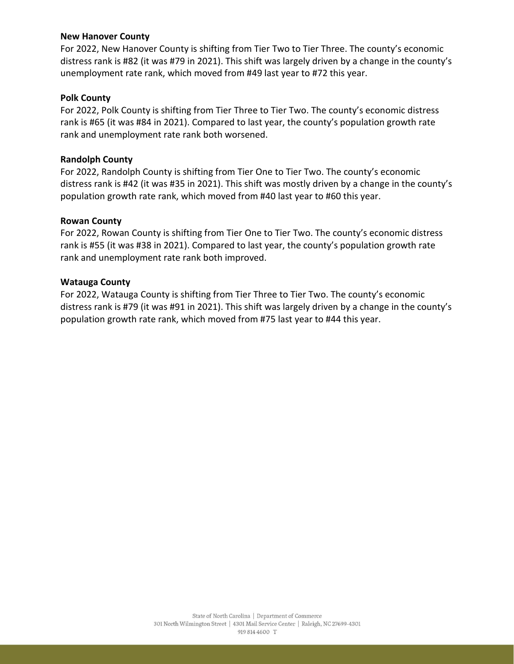### **New Hanover County**

For 2022, New Hanover County is shifting from Tier Two to Tier Three. The county's economic distress rank is #82 (it was #79 in 2021). This shift was largely driven by a change in the county's unemployment rate rank, which moved from #49 last year to #72 this year.

#### **Polk County**

For 2022, Polk County is shifting from Tier Three to Tier Two. The county's economic distress rank is #65 (it was #84 in 2021). Compared to last year, the county's population growth rate rank and unemployment rate rank both worsened.

#### **Randolph County**

For 2022, Randolph County is shifting from Tier One to Tier Two. The county's economic distress rank is #42 (it was #35 in 2021). This shift was mostly driven by a change in the county's population growth rate rank, which moved from #40 last year to #60 this year.

#### **Rowan County**

For 2022, Rowan County is shifting from Tier One to Tier Two. The county's economic distress rank is #55 (it was #38 in 2021). Compared to last year, the county's population growth rate rank and unemployment rate rank both improved.

#### **Watauga County**

For 2022, Watauga County is shifting from Tier Three to Tier Two. The county's economic distress rank is #79 (it was #91 in 2021). This shift was largely driven by a change in the county's population growth rate rank, which moved from #75 last year to #44 this year.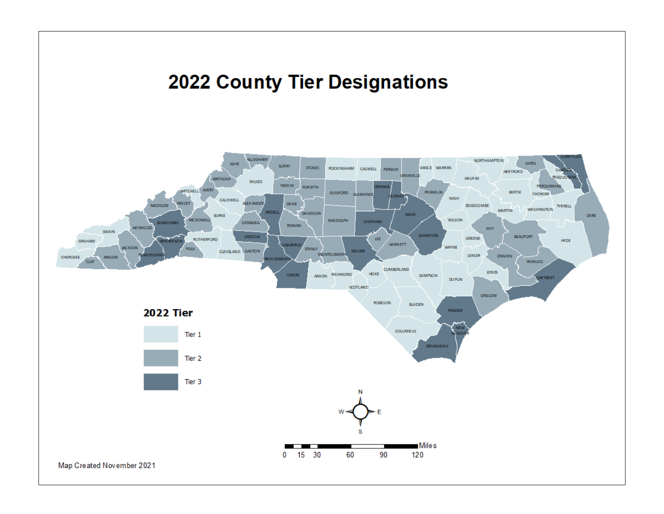# **2022 County Tier Designations**

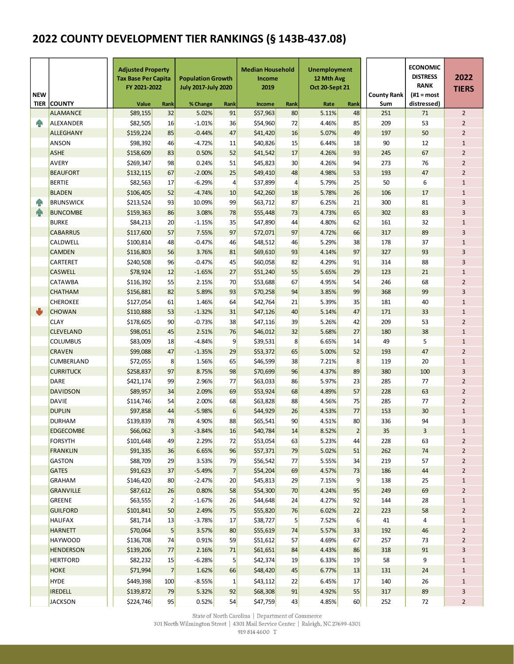# **2022 COUNTY DEVELOPMENT TIER RANKINGS (§ 143B-437.08)**

| <b>NEW</b> |                    | <b>Adjusted Property</b><br><b>Tax Base Per Capita</b><br>FY 2021-2022 |                | <b>Population Growth</b><br><b>July 2017-July 2020</b> |                | <b>Median Household</b><br>Income<br>2019 |                | <b>Unemployment</b><br>12 Mth Avg<br>Oct 20-Sept 21 |                | <b>County Rank</b> | <b>ECONOMIC</b><br><b>DISTRESS</b><br><b>RANK</b><br>(#1 = most | 2022<br><b>TIERS</b> |  |
|------------|--------------------|------------------------------------------------------------------------|----------------|--------------------------------------------------------|----------------|-------------------------------------------|----------------|-----------------------------------------------------|----------------|--------------------|-----------------------------------------------------------------|----------------------|--|
|            | <b>TIER COUNTY</b> | Value                                                                  | Rank           | % Change<br>Rank                                       |                | Income                                    | Rank           |                                                     | Rank           | Sum                | distressed)                                                     |                      |  |
|            | <b>ALAMANCE</b>    | \$89.155                                                               | 32             | 5.02%                                                  | 91             | \$57,963                                  | 80             | 5.11%                                               | 48             | 251                | 71                                                              | $\overline{2}$       |  |
| <b>FIR</b> | <b>ALEXANDER</b>   | \$82,505                                                               | 16             | $-1.01%$                                               | 36             | \$54,960                                  | 72             | 4.46%                                               | 85             | 209                | 53                                                              | $\overline{2}$       |  |
|            | <b>ALLEGHANY</b>   | \$159,224                                                              | 85             | $-0.44%$                                               | 47             | \$41,420                                  | 16             | 5.07%                                               | 49             | 197                | 50                                                              | $\overline{2}$       |  |
|            | ANSON              | \$98,392                                                               | 46             | $-4.72%$                                               | 11             | \$40,826                                  | 15             | 6.44%                                               | 18             | 90                 | 12                                                              | $\mathbf{1}$         |  |
|            | <b>ASHE</b>        | \$158,609                                                              | 83             | 0.50%                                                  | 52             | \$41,542                                  | 17             | 4.26%                                               | 93             | 245                | 67                                                              | $\overline{2}$       |  |
|            | <b>AVERY</b>       | \$269,347                                                              | 98             | 0.24%                                                  | 51             | \$45,823                                  | 30             | 4.26%                                               | 94             | 273                | 76                                                              | $\overline{2}$       |  |
|            | <b>BEAUFORT</b>    | \$132,115                                                              | 67             | $-2.00%$                                               | 25             | \$49,410                                  | 48             | 4.98%                                               | 53             | 193                | 47                                                              | $\overline{2}$       |  |
|            | <b>BERTIE</b>      | \$82,563                                                               | 17             | $-6.29%$                                               | 4              | \$37,899                                  | 4              | 5.79%                                               | 25             | 50                 | 6                                                               | $\mathbf{1}$         |  |
|            | <b>BLADEN</b>      | \$106,405                                                              | 52             | $-4.74%$                                               | 10             | \$42,260                                  | 18             | 5.78%                                               | 26             | 106                | 17                                                              | $\mathbf 1$          |  |
| ЙP         | <b>BRUNSWICK</b>   | \$213,524                                                              | 93             | 10.09%                                                 | 99             | \$63,712                                  | 87             | 6.25%                                               | 21             | 300                | 81                                                              | 3                    |  |
| <b>AR</b>  | <b>BUNCOMBE</b>    | \$159,363                                                              | 86             | 3.08%                                                  | 78             | \$55,448                                  | 73             | 4.73%                                               | 65             | 302                | 83                                                              | 3                    |  |
|            | <b>BURKE</b>       | \$84,213                                                               | 20             | $-1.15%$                                               | 35             | \$47,890                                  | 44             | 4.80%                                               | 62             | 161                | 32                                                              | $\mathbf{1}$         |  |
|            | <b>CABARRUS</b>    | \$117,600                                                              | 57             | 7.55%                                                  | 97             | \$72,071                                  | 97             | 4.72%                                               | 66             | 317                | 89                                                              | 3                    |  |
|            | CALDWELL           | \$100,814                                                              | 48             | $-0.47%$<br>46                                         |                | \$48,512                                  | 46             | 5.29%                                               | 38             | 178                | 37                                                              | $\mathbf{1}$         |  |
|            | <b>CAMDEN</b>      | \$116,803                                                              | 56             | 3.76%                                                  | 81             |                                           | 93             | 4.14%                                               | 97             | 327                | 93                                                              | 3                    |  |
|            | CARTERET           | \$240,508                                                              | 96             | $-0.47%$<br>45                                         |                | \$60,058                                  | 82             | 4.29%                                               | 91             | 314                | 88                                                              | 3                    |  |
|            | <b>CASWELL</b>     | \$78,924                                                               | 12             | $-1.65%$                                               | 27             | \$51,240                                  | 55             | 5.65%                                               | 29             | 123                | 21                                                              | $\mathbf{1}$         |  |
|            | <b>CATAWBA</b>     | \$116,392                                                              | 55             | 2.15%                                                  | 70             | \$53,688                                  | 67             | 4.95%                                               | 54             | 246                | 68                                                              | $\overline{2}$       |  |
|            | <b>CHATHAM</b>     | \$156,881                                                              | 82             | 5.89%                                                  | 93             | \$70,258                                  | 94             | 3.85%                                               | 99             | 368                | 99                                                              | 3                    |  |
|            | <b>CHEROKEE</b>    | \$127,054                                                              | 61             | 1.46%                                                  | 64             | \$42,764                                  | 21             | 5.39%                                               | 35             | 181                | 40                                                              | $\mathbf{1}$         |  |
| ψ          | <b>CHOWAN</b>      | \$110,888                                                              | 53             | $-1.32%$                                               | 31             | \$47,126                                  | 40             | 5.14%                                               | 47             | 171                | 33                                                              | $\mathbf{1}$         |  |
|            | <b>CLAY</b>        | \$178,605                                                              | 90             | $-0.73%$                                               | 38             | \$47,116                                  | 39             | 5.26%                                               | 42             | 209                | 53                                                              | $\overline{2}$       |  |
|            | <b>CLEVELAND</b>   | \$98,051                                                               | 45             | 2.51%                                                  | 76             | \$46,012                                  | 32             | 5.68%                                               | 27             | 180                | 38                                                              | $\mathbf{1}$         |  |
|            | <b>COLUMBUS</b>    | \$83,009                                                               | 18             | $-4.84%$                                               | 9              | \$39,531                                  | 8              | 6.65%                                               | 14             | 49                 | 5                                                               | $\mathbf{1}$         |  |
|            | <b>CRAVEN</b>      | \$99,088                                                               | 47             | $-1.35%$                                               | 29             | \$53,372                                  | 65             | 5.00%                                               | 52             | 193                | 47                                                              | $\overline{2}$       |  |
|            | CUMBERLAND         | \$72,055                                                               | 8              | 1.56%                                                  | 65             | \$46,599                                  | 38             | 7.21%                                               | 8              | 119                | 20                                                              | $\mathbf{1}$         |  |
|            | <b>CURRITUCK</b>   | \$258,837                                                              | 97             | 8.75%                                                  | 98             | \$70,699                                  | 96             | 4.37%                                               | 89             | 380                | 100                                                             | 3                    |  |
|            | DARE               | \$421,174                                                              | 99             | 2.96%                                                  | 77             | \$63,033                                  | 86             | 5.97%                                               | 23             | 285                | 77                                                              | $\overline{2}$       |  |
|            | <b>DAVIDSON</b>    | \$89,957                                                               | 34             | 2.09%                                                  | 69             | \$53,924                                  | 68             | 4.89%                                               | 57             | 228                | 63                                                              | $\overline{2}$       |  |
|            | <b>DAVIE</b>       | \$114,746                                                              | 54             | 2.00%                                                  | 68             | \$63,828                                  | 88             | 4.56%                                               | 75             | 285                | 77                                                              | $\overline{2}$       |  |
|            | <b>DUPLIN</b>      | \$97,858                                                               | 44             | $-5.98%$                                               | 6              | \$44,929                                  | 26             | 4.53%                                               | 77             | 153                | 30                                                              | $\mathbf{1}$         |  |
|            | <b>DURHAM</b>      | \$139,839                                                              | 78             | 4.90%                                                  | 88             | \$65,541                                  | 90             | 4.51%                                               | 80             | 336                | 94                                                              | 3                    |  |
|            | <b>EDGECOMBE</b>   | \$66,062                                                               | 3              | $-3.84%$                                               | 16             | \$40,784                                  | 14             | 8.52%                                               | 2 <sup>1</sup> | 35                 | 3                                                               | $\mathbf{1}$         |  |
|            | <b>FORSYTH</b>     | \$101,648                                                              | 49             | 2.29%                                                  | 72             | \$53,054                                  | 63             | 5.23%                                               | 44             | 228                | 63                                                              | $\overline{2}$       |  |
|            | <b>FRANKLIN</b>    | \$91,335                                                               | 36             | 6.65%                                                  | 96             | \$57,371                                  | 79             | 5.02%                                               | 51             | 262                | 74                                                              | $\overline{2}$       |  |
|            | <b>GASTON</b>      | \$88,709                                                               | 29             | 3.53%                                                  | 79             | \$56,542                                  | 77             | 5.55%                                               | 34             | 219                | 57                                                              | $\overline{2}$       |  |
|            | <b>GATES</b>       | \$91,623                                                               | 37             | $-5.49%$                                               | $\overline{7}$ | \$54,204                                  | 69             | 4.57%                                               | 73             | 186                | 44                                                              | $\overline{2}$       |  |
|            | <b>GRAHAM</b>      | \$146,420                                                              | 80             | $-2.47%$                                               | 20             | \$45,813                                  | 29             | 7.15%                                               | 9              | 138                | 25                                                              | $\mathbf 1$          |  |
|            | <b>GRANVILLE</b>   | \$87,612                                                               | 26             | 0.80%                                                  | 58             | \$54,300                                  | 70             | 4.24%                                               | 95             | 249                | 69                                                              | $\overline{2}$       |  |
|            | <b>GREENE</b>      | \$63,555                                                               | $\overline{2}$ | $-1.67%$                                               | 26             | \$44,648                                  | 24             | 4.27%                                               | 92             | 144                | 28                                                              | $\mathbf 1$          |  |
|            | <b>GUILFORD</b>    | \$101,841                                                              | 50             | 2.49%                                                  | 75             | \$55,820                                  | 76             | 6.02%                                               | 22             | 223                | 58                                                              | $\overline{2}$       |  |
|            | <b>HALIFAX</b>     | \$81,714                                                               | 13             | $-3.78%$                                               | 17             | \$38,727                                  | $\overline{5}$ | 7.52%                                               | $6 \mid$       | 41                 | 4                                                               | $\mathbf 1$          |  |
|            | <b>HARNETT</b>     | \$70,064                                                               | 5              | 3.57%                                                  | 80             | \$55,619                                  | 74             | 5.57%                                               | 33             | 192                | 46                                                              | $\overline{2}$       |  |
|            | <b>HAYWOOD</b>     | \$136,708                                                              | 74             | 0.91%                                                  | 59             | \$51,612                                  | 57             | 4.69%                                               | 67             | 257                | 73                                                              | $\overline{2}$       |  |
|            | <b>HENDERSON</b>   | \$139,206                                                              | 77             | 2.16%                                                  | 71             | \$61,651                                  | 84             | 4.43%                                               | 86             | 318                | 91                                                              | 3                    |  |
|            | <b>HERTFORD</b>    | \$82,232                                                               | 15             | $-6.28%$                                               | 5              | \$42,374                                  | 19             | 6.33%                                               | 19             | 58                 | 9                                                               | $\mathbf 1$          |  |
|            | <b>HOKE</b>        | \$71,994                                                               | $\overline{7}$ | 1.62%                                                  | 66             | \$48,420                                  | 45             | 6.77%                                               | 13             | 131                | 24                                                              | $\mathbf 1$          |  |
|            | <b>HYDE</b>        | \$449,398                                                              | 100            | $-8.55%$                                               | $\mathbf 1$    | \$43,112                                  | 22             | 6.45%                                               | 17             | 140                | 26                                                              | $\mathbf 1$          |  |
|            | <b>IREDELL</b>     | \$139,872                                                              | 79             | 5.32%                                                  | 92             | \$68,308                                  | 91             | 4.92%                                               | 55             | 317                | 89                                                              | 3                    |  |
|            | <b>JACKSON</b>     | \$224,746                                                              | 95             | 0.52%                                                  | 54             | \$47,759                                  | 43             | 4.85%                                               | 60             | 252                | 72                                                              | $\overline{2}$       |  |

 $\label{eq:state} \begin{array}{l} \mbox{State of North Carolina $\mid$ Department of Commerce} \\ \mbox{301 North Williamington Street $\mid$ 4301 Mail Service Center $\mid$ Religh, NC 27699-4301} \end{array}$ 

919 814 4600 T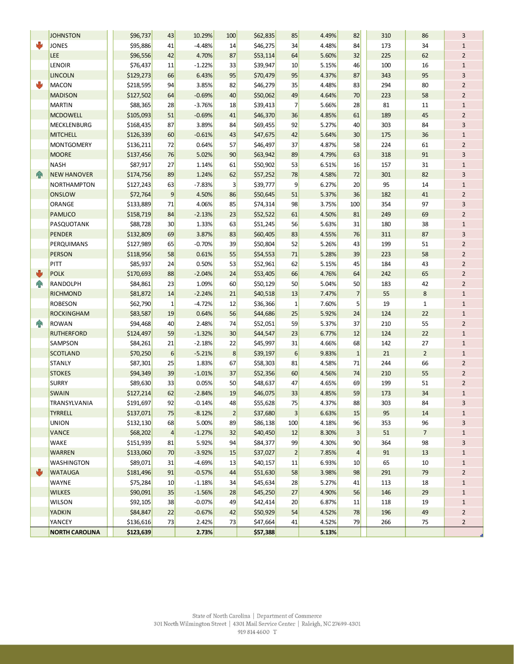|                | <b>JOHNSTON</b>                 | \$96,737               | 43              | 10.29%         | 100            | \$62,835             | 85             | 4.49%          | 82              | 310 | 86             | 3                       |
|----------------|---------------------------------|------------------------|-----------------|----------------|----------------|----------------------|----------------|----------------|-----------------|-----|----------------|-------------------------|
| ₩              | <b>JONES</b>                    | \$95,886               | 41              | $-4.48%$       | 14             | \$46,275             | 34             | 4.48%          | 84              | 173 | 34             | $\mathbf{1}$            |
|                | LEE                             | \$96,556               | 42              | 4.70%          | 87             | \$53,114             | 64             | 5.60%          | 32              | 225 | 62             | $\overline{2}$          |
|                | LENOIR                          | \$76,437               | 11              | $-1.22%$       | 33             | \$39,947             | 10             | 5.15%          | 46              | 100 | 16             | $\mathbf 1$             |
|                | <b>LINCOLN</b>                  | \$129,273              | 66              | 6.43%          | 95             | \$70,479             | 95             | 4.37%          | 87              | 343 | 95             | 3                       |
| ₩              | <b>MACON</b>                    | \$218,595              | 94              | 3.85%          | 82             | \$46,279             | 35             | 4.48%          | 83              | 294 | 80             | $\overline{2}$          |
|                | <b>MADISON</b>                  | \$127,502              | 64              | $-0.69%$       | 40             | \$50,062             | 49             | 4.64%          | 70              | 223 | 58             | $\overline{2}$          |
|                | <b>MARTIN</b>                   | \$88,365               | 28              | $-3.76%$       | 18             | \$39,413             | 7              | 5.66%          | 28              | 81  | $11\,$         | $\mathbf{1}$            |
|                | <b>MCDOWELL</b>                 | \$105,093              | 51              | $-0.69%$       | 41             | \$46,370             | 36             | 4.85%          | 61              | 189 | 45             | $\mathbf 2$             |
|                | <b>MECKLENBURG</b>              | \$168,435              | 87              | 3.89%          | 84             | \$69,455             | 92             | 5.27%          | 40              | 303 | 84             | 3                       |
|                | <b>MITCHELL</b>                 | \$126,339              | 60              | $-0.61%$       | 43             | \$47,675             | 42             | 5.64%          | 30              | 175 | 36             | $\mathbf{1}$            |
|                | <b>MONTGOMERY</b>               | \$136,211              | 72              | 0.64%          | 57             | \$46,497             | 37             | 4.87%          | 58              | 224 | 61             | $\overline{2}$          |
|                | <b>MOORE</b>                    | \$137,456              | 76              | 5.02%          | 90             | \$63,942             | 89             | 4.79%          | 63              | 318 | 91             | 3                       |
|                | <b>NASH</b>                     | \$87,917               | 27              | 1.14%          | 61             | \$50,902             | 53             | 6.51%          | 16              | 157 | 31             | $\mathbf 1$             |
| 4              | <b>NEW HANOVER</b>              | \$174,756              | 89              | 1.24%          | 62             | \$57,252             | 78             | 4.58%          | 72              | 301 | 82             | 3                       |
|                | <b>NORTHAMPTON</b>              | \$127,243              | 63              | $-7.83%$       | 3              | \$39,777             | 9              | 6.27%          | 20              | 95  | 14             | $\mathbf 1$             |
|                | <b>ONSLOW</b>                   | \$72,764               | 9               | 4.50%          | 86             | \$50,645             | 51             | 5.37%          | 36              | 182 | 41             | $\overline{2}$          |
|                | ORANGE                          | \$133,889              | 71              | 4.06%          | 85             | \$74,314             | 98             | 3.75%          | 100             | 354 | 97             | 3                       |
|                | <b>PAMLICO</b>                  | \$158,719              | 84              | $-2.13%$       | 23             | \$52,522             | 61             | 4.50%          | 81              | 249 | 69             | $\overline{2}$          |
|                | PASQUOTANK                      | \$88,728               | 30              | 1.33%          | 63             | \$51,245             | 56             | 5.63%          | 31              | 180 | 38             | $\mathbf 1$             |
|                | <b>PENDER</b>                   | \$132,809              | 69              | 3.87%          | 83             | \$60,405             | 83             | 4.55%          | 76              | 311 | 87             | 3                       |
|                | PERQUIMANS                      | \$127,989              | 65              | $-0.70%$       | 39             | \$50,804             | 52             | 5.26%          | 43              | 199 | 51             | $\overline{2}$          |
|                | <b>PERSON</b>                   | \$118,956              | 58              | 0.61%          | 55             | \$54,553             | 71             | 5.28%          | 39              | 223 | 58             | $\overline{2}$          |
|                | PITT                            | \$85,937               | 24              | 0.50%          | 53             | \$52,961             | 62             | 5.15%          | 45              | 184 | 43             | $\overline{2}$          |
| ψ              | <b>POLK</b>                     | \$170,693              | 88              | $-2.04%$       | 24             | \$53,405             | 66             | 4.76%          | 64              | 242 | 65             | $\overline{2}$          |
| 4 <sup>h</sup> | RANDOLPH                        | \$84,861               | 23              | 1.09%          | 60             | \$50,129             | 50             | 5.04%          | 50              | 183 | 42             | $\overline{2}$          |
|                | <b>RICHMOND</b>                 | \$81,872               | 14              | $-2.24%$       | 21             | \$40,518             | 13             | 7.47%          | 7               | 55  | 8              | $\mathbf{1}$            |
|                | <b>ROBESON</b>                  | \$62,790               | $\mathbf 1$     | $-4.72%$       | 12             | \$36,366             | 1              | 7.60%          | 5               | 19  | $\mathbf{1}$   | $\mathbf{1}$            |
|                | <b>ROCKINGHAM</b>               | \$83,587               | 19              | 0.64%          | 56             | \$44,686             | 25             | 5.92%          | 24              | 124 | 22             | $\mathbf 1$             |
| $\mathbf{r}$   | <b>ROWAN</b>                    | \$94,468               | 40              | 2.48%          | 74             | \$52,051             | 59             | 5.37%          | 37              | 210 | 55             | $\overline{2}$          |
|                | <b>RUTHERFORD</b>               | \$124,497              | 59              | $-1.32%$       | 30             | \$44,547             | 23             | 6.77%          | 12              | 124 | 22             | $\mathbf 1$             |
|                | <b>SAMPSON</b>                  | \$84,261               | 21              | $-2.18%$       | 22             | \$45,997             | 31             | 4.66%          | 68              | 142 | 27             | $\mathbf 1$             |
|                | <b>SCOTLAND</b>                 | \$70,250               | $6\phantom{1}6$ | $-5.21%$       | 8              | \$39,197             | 6              | 9.83%          | $\mathbf{1}$    | 21  | $\overline{2}$ | $\mathbf 1$             |
|                | <b>STANLY</b>                   | \$87,301               | 25              | 1.83%          | 67             | \$58,303             | 81             | 4.58%          | 71              | 244 | 66             | $\overline{2}$          |
|                | <b>STOKES</b>                   | \$94,349               | 39              | $-1.01%$       | 37             | \$52,356             | 60             | 4.56%          | 74              | 210 | 55             | $\overline{2}$          |
|                | <b>SURRY</b>                    | \$89,630               | 33              | 0.05%          | 50             | \$48,637             | 47             | 4.65%          | 69              | 199 | 51             | $\overline{2}$          |
|                | <b>SWAIN</b>                    | \$127,214              | 62              | $-2.84%$       | 19             | \$46,075             | 33             | 4.85%          | 59              | 173 | 34             | $\mathbf 1$             |
|                | TRANSYLVANIA                    | \$191,697              | 92              | $-0.14%$       | 48             | \$55,628             | 75             | 4.37%          | 88              | 303 | 84             | 3                       |
|                | <b>TYRRELL</b>                  | \$137,071              | 75              | $-8.12%$       | $\overline{2}$ | \$37,680             | 3              | 6.63%          | 15              | 95  | 14             | $\mathbf{1}$            |
|                | <b>UNION</b>                    | \$132,130              | 68              | 5.00%          | 89             | \$86,138             | 100            | 4.18%          | 96              | 353 | 96             | 3                       |
|                | <b>VANCE</b>                    | \$68,202               | $\vert$         | $-1.27%$       | 32             | \$40,450             | 12             | 8.30%          | 3 <sup>2</sup>  | 51  | $\overline{7}$ | $\mathbf 1$             |
|                | WAKE                            | \$151,939              | 81              | 5.92%          | 94             | \$84,377             | 99             | 4.30%          | 90              | 364 | 98             | 3                       |
|                | <b>WARREN</b>                   | \$133,060              | 70              | $-3.92%$       | 15             | \$37,027             | $\overline{2}$ | 7.85%          | $\vert 4 \vert$ | 91  | 13             | $\mathbf 1$             |
|                | WASHINGTON                      | \$89,071               | 31              | $-4.69%$       | 13             | \$40,157             | 11             | 6.93%          | 10 <sub>2</sub> | 65  | 10             | $\mathbf 1$             |
| ψ              | <b>WATAUGA</b>                  | \$181,496              | 91              | $-0.57%$       | 44             | \$51,630             | 58             | 3.98%          | 98              | 291 | 79             | $\overline{2}$          |
|                | WAYNE                           | \$75,284               | 10              | $-1.18%$       | 34             | \$45,634             | 28             | 5.27%          | 41              | 113 | 18             | $\mathbf 1$             |
|                | <b>WILKES</b>                   | \$90,091               | 35              | $-1.56%$       | 28             | \$45,250             | 27             | 4.90%          | 56              | 146 | 29             | $\mathbf 1$             |
|                | <b>WILSON</b>                   | \$92,105               | 38              | $-0.07%$       | 49             | \$42,414             | 20             | 6.87%          | 11              | 118 | 19             | $\mathbf 1$             |
|                | <b>YADKIN</b>                   | \$84,847               | 22              | $-0.67%$       | 42             | \$50,929             | 54             | 4.52%          | 78              | 196 | 49             | $\overline{\mathbf{c}}$ |
|                | YANCEY<br><b>NORTH CAROLINA</b> | \$136,616<br>\$123.639 | 73              | 2.42%<br>2.73% | 73             | \$47,664<br>\$57.388 | 41             | 4.52%<br>5.13% | 79              | 266 | 75             | $\overline{2}$          |